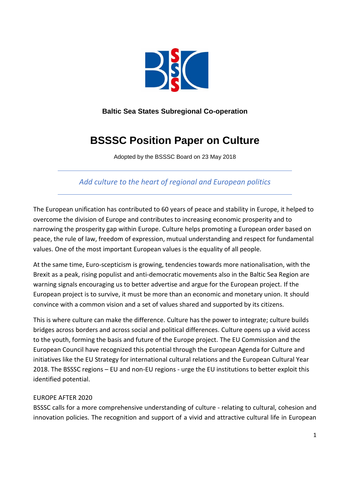

# **Baltic Sea States Subregional Co-operation**

# **BSSSC Position Paper on Culture**

Adopted by the BSSSC Board on 23 May 2018

*Add culture to the heart of regional and European politics*

The European unification has contributed to 60 years of peace and stability in Europe, it helped to overcome the division of Europe and contributes to increasing economic prosperity and to narrowing the prosperity gap within Europe. Culture helps promoting a European order based on peace, the rule of law, freedom of expression, mutual understanding and respect for fundamental values. One of the most important European values is the equality of all people.

At the same time, Euro-scepticism is growing, tendencies towards more nationalisation, with the Brexit as a peak, rising populist and anti-democratic movements also in the Baltic Sea Region are warning signals encouraging us to better advertise and argue for the European project. If the European project is to survive, it must be more than an economic and monetary union. It should convince with a common vision and a set of values shared and supported by its citizens.

This is where culture can make the difference. Culture has the power to integrate; culture builds bridges across borders and across social and political differences. Culture opens up a vivid access to the youth, forming the basis and future of the Europe project. The EU Commission and the European Council have recognized this potential through the European Agenda for Culture and initiatives like the EU Strategy for international cultural relations and the European Cultural Year 2018. The BSSSC regions – EU and non-EU regions - urge the EU institutions to better exploit this identified potential.

### EUROPE AFTER 2020

BSSSC calls for a more comprehensive understanding of culture - relating to cultural, cohesion and innovation policies. The recognition and support of a vivid and attractive cultural life in European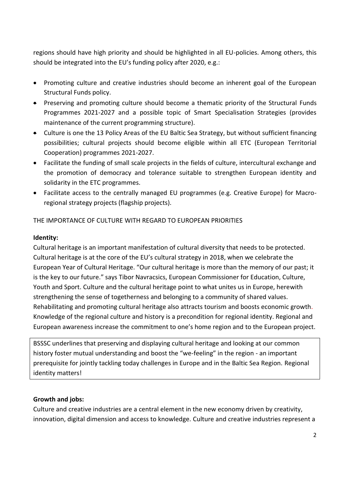regions should have high priority and should be highlighted in all EU-policies. Among others, this should be integrated into the EU's funding policy after 2020, e.g.:

- Promoting culture and creative industries should become an inherent goal of the European Structural Funds policy.
- Preserving and promoting culture should become a thematic priority of the Structural Funds Programmes 2021-2027 and a possible topic of Smart Specialisation Strategies (provides maintenance of the current programming structure).
- Culture is one the 13 Policy Areas of the EU Baltic Sea Strategy, but without sufficient financing possibilities; cultural projects should become eligible within all ETC (European Territorial Cooperation) programmes 2021-2027.
- Facilitate the funding of small scale projects in the fields of culture, intercultural exchange and the promotion of democracy and tolerance suitable to strengthen European identity and solidarity in the ETC programmes.
- Facilitate access to the centrally managed EU programmes (e.g. Creative Europe) for Macroregional strategy projects (flagship projects).

## THE IMPORTANCE OF CULTURE WITH REGARD TO EUROPEAN PRIORITIES

### **Identity:**

Cultural heritage is an important manifestation of cultural diversity that needs to be protected. Cultural heritage is at the core of the EU's cultural strategy in 2018, when we celebrate the European Year of Cultural Heritage. "Our cultural heritage is more than the memory of our past; it is the key to our future." says Tibor Navracsics, European Commissioner for Education, Culture, Youth and Sport. Culture and the cultural heritage point to what unites us in Europe, herewith strengthening the sense of togetherness and belonging to a community of shared values. Rehabilitating and promoting cultural heritage also attracts tourism and boosts economic growth*.* Knowledge of the regional culture and history is a precondition for regional identity. Regional and European awareness increase the commitment to one's home region and to the European project.

BSSSC underlines that preserving and displaying cultural heritage and looking at our common history foster mutual understanding and boost the "we-feeling" in the region - an important prerequisite for jointly tackling today challenges in Europe and in the Baltic Sea Region. Regional identity matters!

### **Growth and jobs:**

Culture and creative industries are a central element in the new economy driven by creativity, innovation, digital dimension and access to knowledge. Culture and creative industries represent a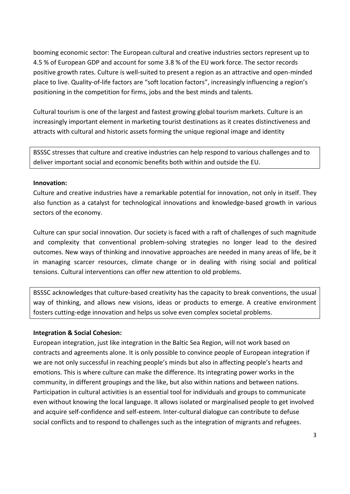booming economic sector: The European cultural and creative industries sectors represent up to 4.5 % of European GDP and account for some 3.8 % of the EU work force. The sector records positive growth rates. Culture is well-suited to present a region as an attractive and open-minded place to live. Quality-of-life factors are "soft location factors", increasingly influencing a region's positioning in the competition for firms, jobs and the best minds and talents.

Cultural tourism is one of the largest and fastest growing global tourism markets. Culture is an increasingly important element in marketing tourist destinations as it creates distinctiveness and attracts with cultural and historic assets forming the unique regional image and identity

BSSSC stresses that culture and creative industries can help respond to various challenges and to deliver important social and economic benefits both within and outside the EU.

#### **Innovation:**

Culture and creative industries have a remarkable potential for innovation, not only in itself. They also function as a catalyst for technological innovations and knowledge-based growth in various sectors of the economy.

Culture can spur social innovation. Our society is faced with a raft of challenges of such magnitude and complexity that conventional problem-solving strategies no longer lead to the desired outcomes. New ways of thinking and innovative approaches are needed in many areas of life, be it in managing scarcer resources, climate change or in dealing with rising social and political tensions. Cultural interventions can offer new attention to old problems.

BSSSC acknowledges that culture-based creativity has the capacity to break conventions, the usual way of thinking, and allows new visions, ideas or products to emerge. A creative environment fosters cutting-edge innovation and helps us solve even complex societal problems.

### **Integration & Social Cohesion:**

European integration, just like integration in the Baltic Sea Region, will not work based on contracts and agreements alone. It is only possible to convince people of European integration if we are not only successful in reaching people's minds but also in affecting people's hearts and emotions. This is where culture can make the difference. Its integrating power works in the community, in different groupings and the like, but also within nations and between nations. Participation in cultural activities is an essential tool for individuals and groups to communicate even without knowing the local language. It allows isolated or marginalised people to get involved and acquire self-confidence and self-esteem. Inter-cultural dialogue can contribute to defuse social conflicts and to respond to challenges such as the integration of migrants and refugees.